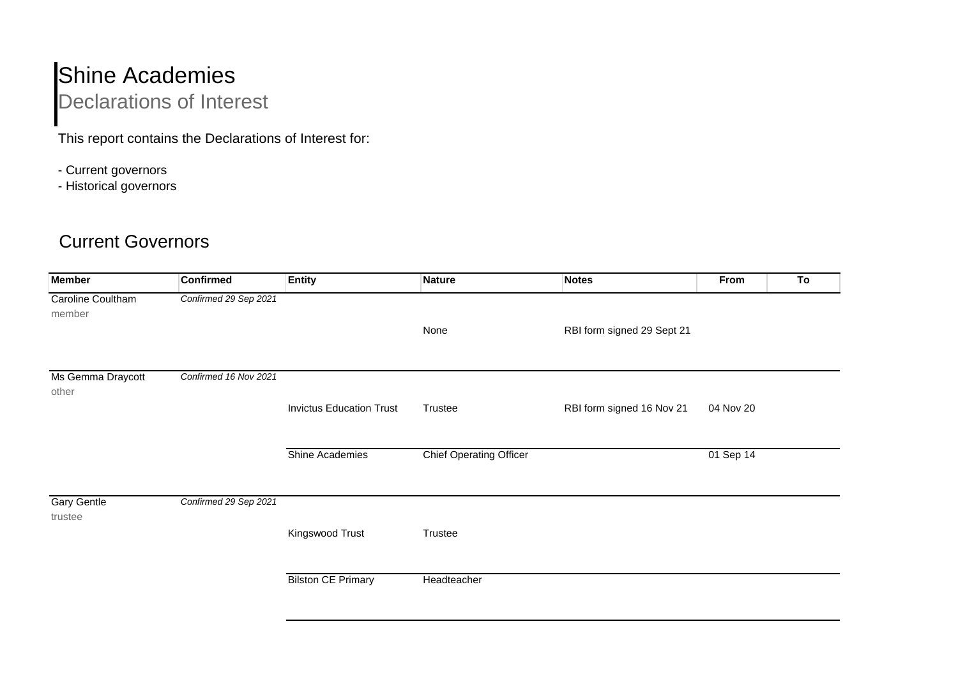## Shine Academies

Declarations of Interest

This report contains the Declarations of Interest for:

- Current governors
- Historical governors

## Current Governors

| <b>Member</b>                 | <b>Confirmed</b>      | <b>Entity</b>                   | <b>Nature</b>                  | Notes                      | From      | To |
|-------------------------------|-----------------------|---------------------------------|--------------------------------|----------------------------|-----------|----|
| Caroline Coultham<br>member   | Confirmed 29 Sep 2021 |                                 |                                |                            |           |    |
|                               |                       |                                 | None                           | RBI form signed 29 Sept 21 |           |    |
| Ms Gemma Draycott<br>other    | Confirmed 16 Nov 2021 |                                 |                                |                            |           |    |
|                               |                       | <b>Invictus Education Trust</b> | Trustee                        | RBI form signed 16 Nov 21  | 04 Nov 20 |    |
|                               |                       | Shine Academies                 | <b>Chief Operating Officer</b> |                            | 01 Sep 14 |    |
| <b>Gary Gentle</b><br>trustee | Confirmed 29 Sep 2021 |                                 |                                |                            |           |    |
|                               |                       | Kingswood Trust                 | Trustee                        |                            |           |    |
|                               |                       | <b>Bilston CE Primary</b>       | Headteacher                    |                            |           |    |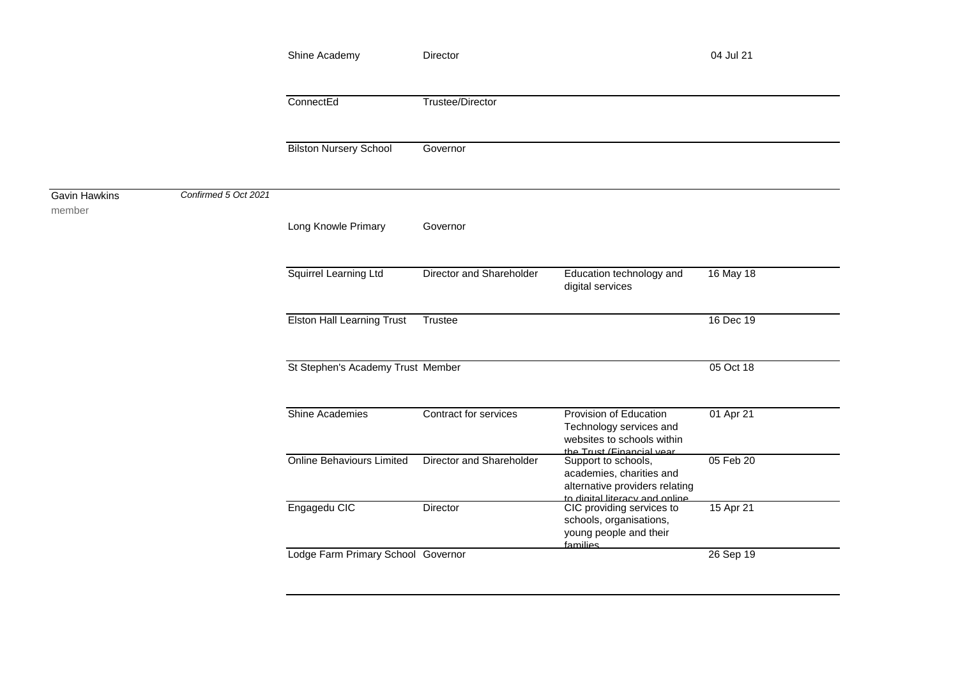|                                |                      | Shine Academy<br>ConnectEd<br><b>Bilston Nursery School</b> | Director                 |                                                                                                                              | 04 Jul 21 |  |
|--------------------------------|----------------------|-------------------------------------------------------------|--------------------------|------------------------------------------------------------------------------------------------------------------------------|-----------|--|
|                                |                      |                                                             | Trustee/Director         |                                                                                                                              |           |  |
|                                |                      |                                                             | Governor                 |                                                                                                                              |           |  |
| <b>Gavin Hawkins</b><br>member | Confirmed 5 Oct 2021 |                                                             |                          |                                                                                                                              |           |  |
|                                |                      | Long Knowle Primary                                         | Governor                 |                                                                                                                              |           |  |
|                                |                      | Squirrel Learning Ltd                                       | Director and Shareholder | Education technology and<br>digital services                                                                                 | 16 May 18 |  |
|                                |                      | <b>Elston Hall Learning Trust</b>                           | Trustee                  |                                                                                                                              | 16 Dec 19 |  |
|                                |                      | St Stephen's Academy Trust Member                           |                          |                                                                                                                              | 05 Oct 18 |  |
|                                |                      | <b>Shine Academies</b>                                      | Contract for services    | Provision of Education<br>Technology services and<br>websites to schools within                                              | 01 Apr 21 |  |
|                                |                      | <b>Online Behaviours Limited</b>                            | Director and Shareholder | the Trust (Financial vear<br>Support to schools,<br>academies, charities and<br>alternative providers relating               | 05 Feb 20 |  |
|                                |                      | Engagedu CIC                                                | Director                 | to digital literacy and online<br>CIC providing services to<br>schools, organisations,<br>young people and their<br>families | 15 Apr 21 |  |
|                                |                      | Lodge Farm Primary School Governor                          |                          |                                                                                                                              | 26 Sep 19 |  |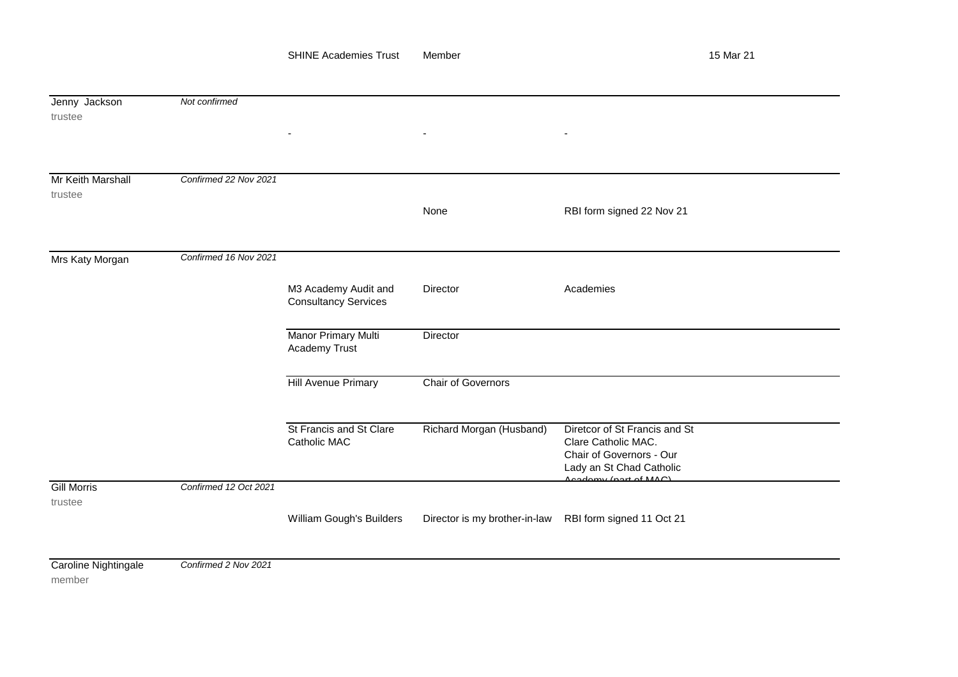| Jenny Jackson<br>trustee       | Not confirmed         |                                                     |                               |                                                                                                              |  |  |  |
|--------------------------------|-----------------------|-----------------------------------------------------|-------------------------------|--------------------------------------------------------------------------------------------------------------|--|--|--|
|                                |                       |                                                     | $\blacksquare$                |                                                                                                              |  |  |  |
| Mr Keith Marshall<br>trustee   | Confirmed 22 Nov 2021 |                                                     | None                          | RBI form signed 22 Nov 21                                                                                    |  |  |  |
| Mrs Katy Morgan                | Confirmed 16 Nov 2021 |                                                     |                               |                                                                                                              |  |  |  |
|                                |                       | M3 Academy Audit and<br><b>Consultancy Services</b> | <b>Director</b>               | Academies                                                                                                    |  |  |  |
|                                |                       | Manor Primary Multi<br>Academy Trust                | Director                      |                                                                                                              |  |  |  |
|                                |                       | <b>Hill Avenue Primary</b>                          | <b>Chair of Governors</b>     |                                                                                                              |  |  |  |
|                                |                       | St Francis and St Clare<br>Catholic MAC             | Richard Morgan (Husband)      | Diretcor of St Francis and St<br>Clare Catholic MAC.<br>Chair of Governors - Our<br>Lady an St Chad Catholic |  |  |  |
| <b>Gill Morris</b><br>trustee  | Confirmed 12 Oct 2021 |                                                     |                               | $A$ cadamy (part of $MAC$ )                                                                                  |  |  |  |
|                                |                       | William Gough's Builders                            | Director is my brother-in-law | RBI form signed 11 Oct 21                                                                                    |  |  |  |
| Caroline Nightingale<br>member | Confirmed 2 Nov 2021  |                                                     |                               |                                                                                                              |  |  |  |